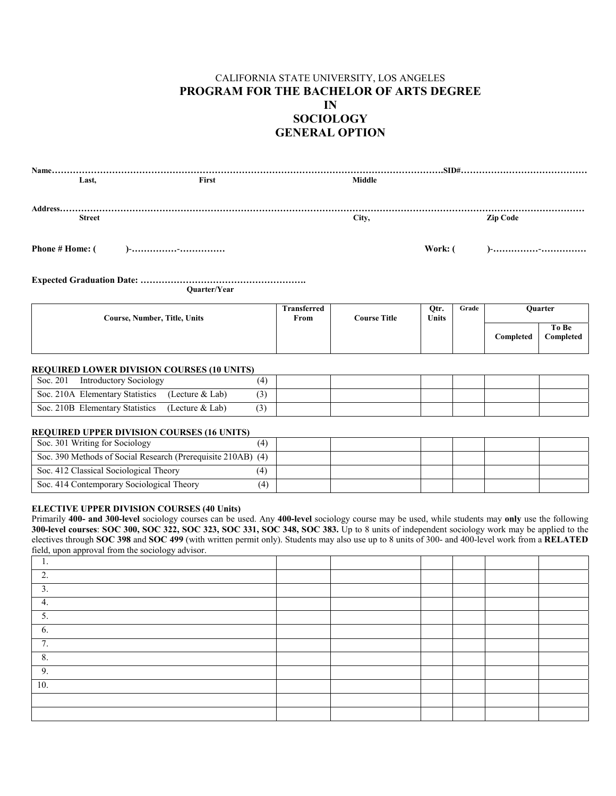## CALIFORNIA STATE UNIVERSITY, LOS ANGELES **PROGRAM FOR THE BACHELOR OF ARTS DEGREE IN SOCIOLOGY GENERAL OPTION**

| Last.         | First               | <b>Middle</b> |                 |
|---------------|---------------------|---------------|-----------------|
|               |                     |               |                 |
| Address       |                     |               |                 |
| <b>Street</b> |                     | City,         | <b>Zip Code</b> |
|               |                     |               |                 |
|               |                     |               |                 |
|               |                     |               |                 |
|               |                     |               |                 |
|               |                     |               |                 |
|               | <b>Ouarter/Year</b> |               |                 |

| Course, Number, Title, Units | Transferred<br>From | <b>Course Title</b> | Otr.<br><b>Units</b> | Grade |           | Ouarter            |
|------------------------------|---------------------|---------------------|----------------------|-------|-----------|--------------------|
|                              |                     |                     |                      |       | Completed | To Be<br>Completed |

#### **REQUIRED LOWER DIVISION COURSES (10 UNITS)**

| Soc. 201<br><b>Introductory Sociology</b> |                 |  |  |  |  |
|-------------------------------------------|-----------------|--|--|--|--|
| Soc. 210A Elementary Statistics           | (Lecture & Lab) |  |  |  |  |
| Soc. 210B Elementary Statistics           | (Lecture & Lab) |  |  |  |  |

#### **REQUIRED UPPER DIVISION COURSES (16 UNITS)**

| Soc. 301 Writing for Sociology                               |  |  |  |  |
|--------------------------------------------------------------|--|--|--|--|
| Soc. 390 Methods of Social Research (Prerequisite 210AB) (4) |  |  |  |  |
| Soc. 412 Classical Sociological Theory                       |  |  |  |  |
| Soc. 414 Contemporary Sociological Theory                    |  |  |  |  |

### **ELECTIVE UPPER DIVISION COURSES (40 Units)**

Primarily **400- and 300-level** sociology courses can be used. Any **400-level** sociology course may be used, while students may **only** use the following **300-level courses**: **SOC 300, SOC 322, SOC 323, SOC 331, SOC 348, SOC 383.** Up to 8 units of independent sociology work may be applied to the electives through **SOC 398** and **SOC 499** (with written permit only). Students may also use up to 8 units of 300- and 400-level work from a **RELATED** field, upon approval from the sociology advisor.

| . .           |  |  |  |
|---------------|--|--|--|
| $\bigcap$     |  |  |  |
| 3.            |  |  |  |
| 4.            |  |  |  |
| J.            |  |  |  |
| b.            |  |  |  |
| $\mathbf{r}$  |  |  |  |
| $\circ$<br>ð. |  |  |  |
| 9.            |  |  |  |
| 10.           |  |  |  |
|               |  |  |  |
|               |  |  |  |